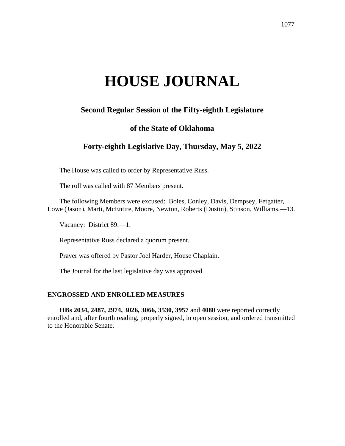# **HOUSE JOURNAL**

# **Second Regular Session of the Fifty-eighth Legislature**

## **of the State of Oklahoma**

# **Forty-eighth Legislative Day, Thursday, May 5, 2022**

The House was called to order by Representative Russ.

The roll was called with 87 Members present.

The following Members were excused: Boles, Conley, Davis, Dempsey, Fetgatter, Lowe (Jason), Marti, McEntire, Moore, Newton, Roberts (Dustin), Stinson, Williams.—13.

Vacancy: District 89.—1.

Representative Russ declared a quorum present.

Prayer was offered by Pastor Joel Harder, House Chaplain.

The Journal for the last legislative day was approved.

#### **ENGROSSED AND ENROLLED MEASURES**

**HBs 2034, 2487, 2974, 3026, 3066, 3530, 3957** and **4080** were reported correctly enrolled and, after fourth reading, properly signed, in open session, and ordered transmitted to the Honorable Senate.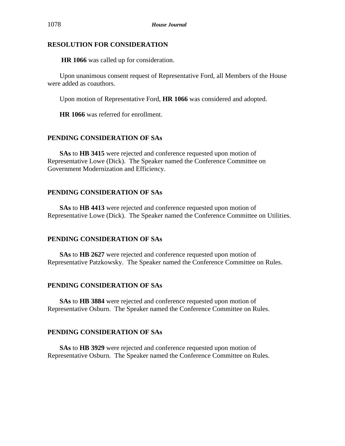#### **RESOLUTION FOR CONSIDERATION**

**HR 1066** was called up for consideration.

Upon unanimous consent request of Representative Ford, all Members of the House were added as coauthors.

Upon motion of Representative Ford, **HR 1066** was considered and adopted.

**HR 1066** was referred for enrollment.

## **PENDING CONSIDERATION OF SAs**

**SAs** to **HB 3415** were rejected and conference requested upon motion of Representative Lowe (Dick). The Speaker named the Conference Committee on Government Modernization and Efficiency.

### **PENDING CONSIDERATION OF SAs**

**SAs** to **HB 4413** were rejected and conference requested upon motion of Representative Lowe (Dick). The Speaker named the Conference Committee on Utilities.

#### **PENDING CONSIDERATION OF SAs**

**SAs** to **HB 2627** were rejected and conference requested upon motion of Representative Patzkowsky. The Speaker named the Conference Committee on Rules.

### **PENDING CONSIDERATION OF SAs**

**SAs** to **HB 3884** were rejected and conference requested upon motion of Representative Osburn. The Speaker named the Conference Committee on Rules.

## **PENDING CONSIDERATION OF SAs**

**SAs** to **HB 3929** were rejected and conference requested upon motion of Representative Osburn. The Speaker named the Conference Committee on Rules.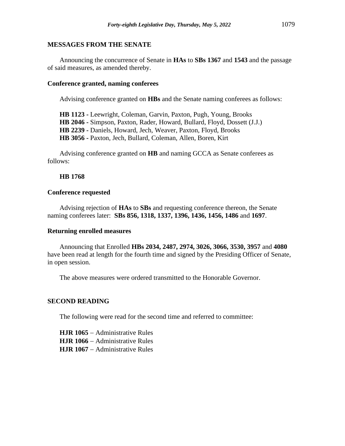#### **MESSAGES FROM THE SENATE**

Announcing the concurrence of Senate in **HAs** to **SBs 1367** and **1543** and the passage of said measures, as amended thereby.

#### **Conference granted, naming conferees**

Advising conference granted on **HBs** and the Senate naming conferees as follows:

**HB 1123 -** Leewright, Coleman, Garvin, Paxton, Pugh, Young, Brooks **HB 2046 -** Simpson, Paxton, Rader, Howard, Bullard, Floyd, Dossett (J.J.) **HB 2239 -** Daniels, Howard, Jech, Weaver, Paxton, Floyd, Brooks **HB 3056 -** Paxton, Jech, Bullard, Coleman, Allen, Boren, Kirt

Advising conference granted on **HB** and naming GCCA as Senate conferees as follows:

#### **HB 1768**

#### **Conference requested**

Advising rejection of **HAs** to **SBs** and requesting conference thereon, the Senate naming conferees later: **SBs 856, 1318, 1337, 1396, 1436, 1456, 1486** and **1697**.

#### **Returning enrolled measures**

Announcing that Enrolled **HBs 2034, 2487, 2974, 3026, 3066, 3530, 3957** and **4080** have been read at length for the fourth time and signed by the Presiding Officer of Senate, in open session.

The above measures were ordered transmitted to the Honorable Governor.

#### **SECOND READING**

The following were read for the second time and referred to committee:

**HJR 1065** − Administrative Rules **HJR 1066** − Administrative Rules **HJR 1067** − Administrative Rules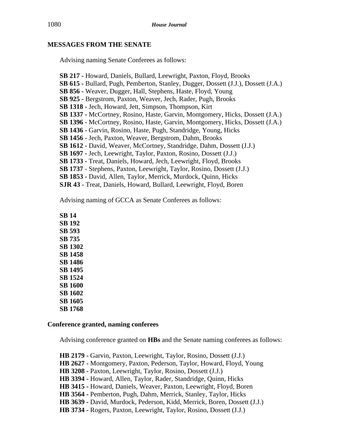## **MESSAGES FROM THE SENATE**

Advising naming Senate Conferees as follows:

**SB 217 -** Howard, Daniels, Bullard, Leewright, Paxton, Floyd, Brooks **SB 615 -** Bullard, Pugh, Pemberton, Stanley, Dugger, Dossett (J.J.), Dossett (J.A.) **SB 856 -** Weaver, Dugger, Hall, Stephens, Haste, Floyd, Young **SB 925 -** Bergstrom, Paxton, Weaver, Jech, Rader, Pugh, Brooks **SB 1318 -** Jech, Howard, Jett, Simpson, Thompson, Kirt **SB 1337 -** McCortney, Rosino, Haste, Garvin, Montgomery, Hicks, Dossett (J.A.) **SB 1396** - McCortney, Rosino, Haste, Garvin, Montgomery, Hicks, Dossett (J.A.) **SB 1436 -** Garvin, Rosino, Haste, Pugh, Standridge, Young, Hicks **SB 1456 -** Jech, Paxton, Weaver, Bergstrom, Dahm, Brooks **SB 1612 -** David, Weaver, McCortney, Standridge, Dahm, Dossett (J.J.) **SB 1697 -** Jech, Leewright, Taylor, Paxton, Rosino, Dossett (J.J.) **SB 1733 -** Treat, Daniels, Howard, Jech, Leewright, Floyd, Brooks **SB 1737** - Stephens, Paxton, Leewright, Taylor, Rosino, Dossett (J.J.) **SB 1853 -** David, Allen, Taylor, Merrick, Murdock, Quinn, Hicks **SJR 43 -** Treat, Daniels, Howard, Bullard, Leewright, Floyd, Boren

Advising naming of GCCA as Senate Conferees as follows:

**SB 14 SB 192 SB 593 SB 735 SB 1302 SB 1458 SB 1486 SB 1495 SB 1524 SB 1600 SB 1602 SB 1605 SB 1768**

## **Conference granted, naming conferees**

Advising conference granted on **HBs** and the Senate naming conferees as follows:

**HB 2179 -** Garvin, Paxton, Leewright, Taylor, Rosino, Dossett (J.J.) **HB 2627 -** Montgomery, Paxton, Pederson, Taylor, Howard, Floyd, Young **HB 3208 -** Paxton, Leewright, Taylor, Rosino, Dossett (J.J.) **HB 3394 -** Howard, Allen, Taylor, Rader, Standridge, Quinn, Hicks **HB 3415 -** Howard, Daniels, Weaver, Paxton, Leewright, Floyd, Boren **HB 3564 -** Pemberton, Pugh, Dahm, Merrick, Stanley, Taylor, Hicks **HB 3639 -** David, Murdock, Pederson, Kidd, Merrick, Boren, Dossett (J.J.) **HB 3734 -** Rogers, Paxton, Leewright, Taylor, Rosino, Dossett (J.J.)